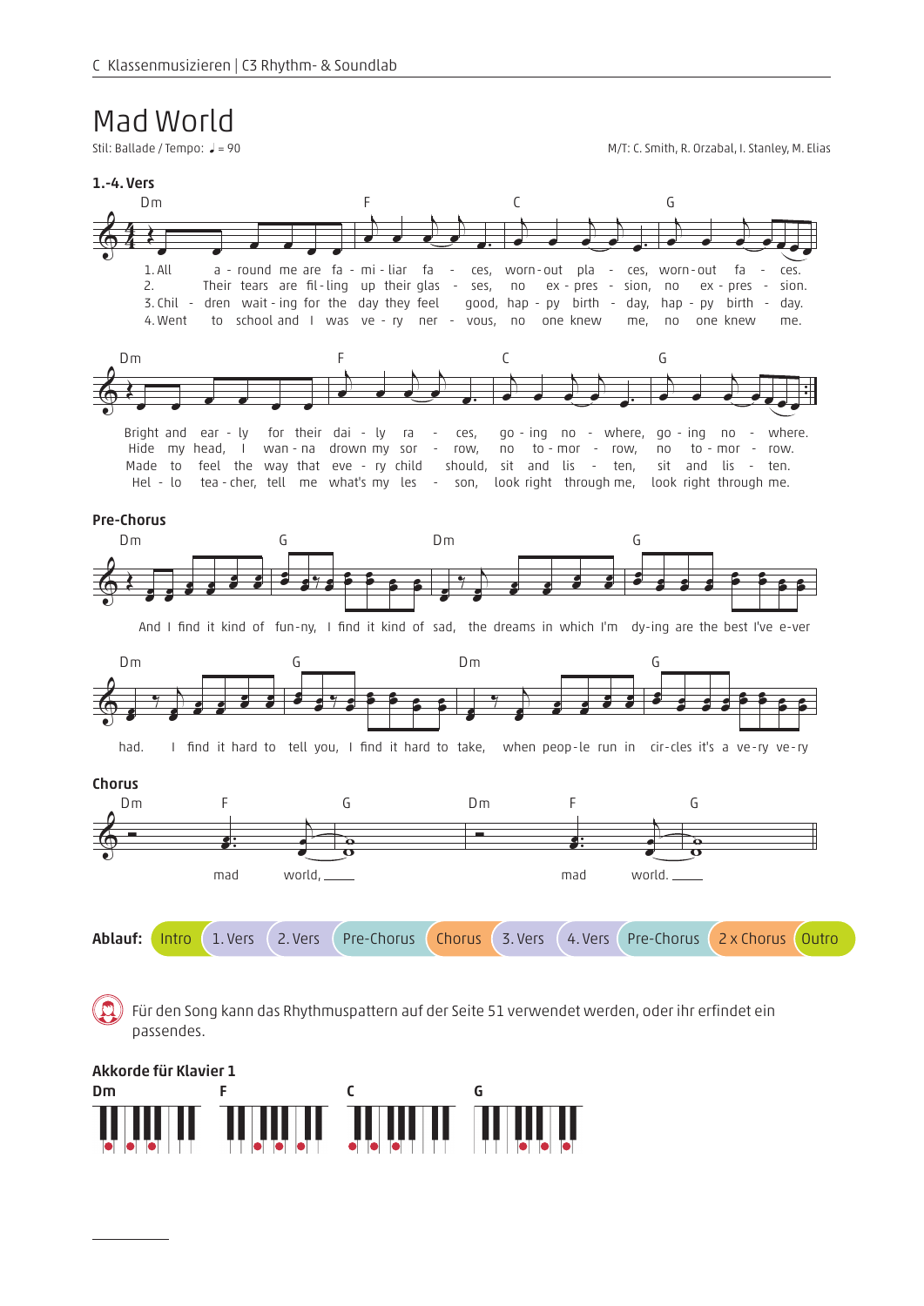## Mad World

Stil: Ballade / Tempo:  $J = 90$ 

M/T: C. Smith, R. Orzabal, I. Stanley, M. Elias



Für den Song kann das Rhythmuspattern auf der Seite 51 verwendet werden, oder ihr erfindet ein passendes.